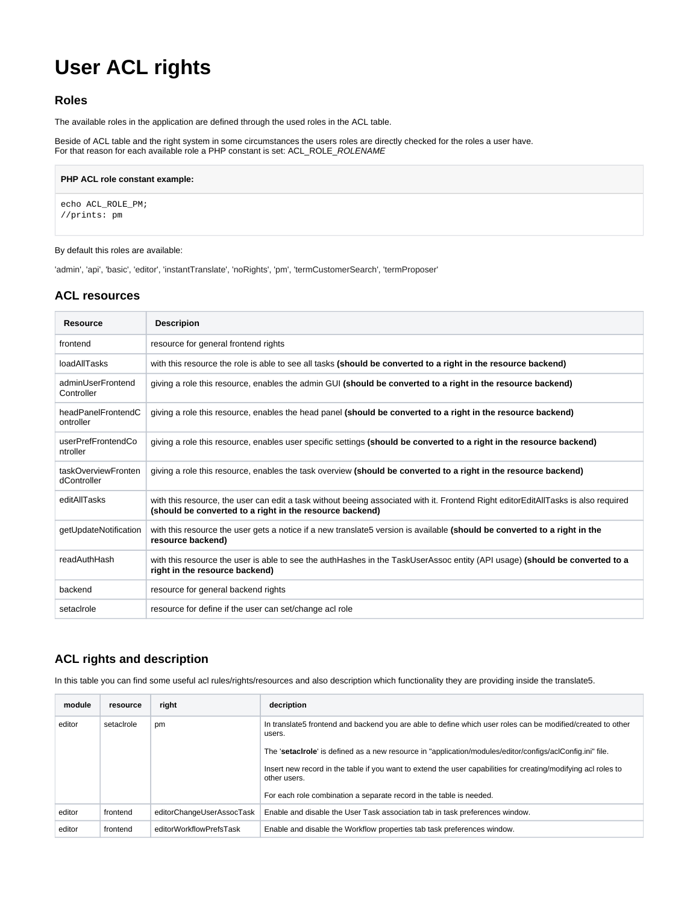# **User ACL rights**

## **Roles**

The available roles in the application are defined through the used roles in the ACL table.

Beside of ACL table and the right system in some circumstances the users roles are directly checked for the roles a user have. For that reason for each available role a PHP constant is set: ACL\_ROLE\_*ROLENAME* 

# **PHP ACL role constant example:** echo ACL\_ROLE\_PM; //prints: pm

#### By default this roles are available:

'admin', 'api', 'basic', 'editor', 'instantTranslate', 'noRights', 'pm', 'termCustomerSearch', 'termProposer'

### **ACL resources**

| <b>Resource</b>                    | <b>Descripion</b>                                                                                                                                                                              |  |
|------------------------------------|------------------------------------------------------------------------------------------------------------------------------------------------------------------------------------------------|--|
| frontend                           | resource for general frontend rights                                                                                                                                                           |  |
| loadAllTasks                       | with this resource the role is able to see all tasks (should be converted to a right in the resource backend)                                                                                  |  |
| adminUserFrontend<br>Controller    | giving a role this resource, enables the admin GUI (should be converted to a right in the resource backend)                                                                                    |  |
| headPanelFrontendC<br>ontroller    | giving a role this resource, enables the head panel (should be converted to a right in the resource backend)                                                                                   |  |
| userPrefFrontendCo<br>ntroller     | giving a role this resource, enables user specific settings (should be converted to a right in the resource backend)                                                                           |  |
| taskOverviewFronten<br>dController | giving a role this resource, enables the task overview (should be converted to a right in the resource backend)                                                                                |  |
| editAllTasks                       | with this resource, the user can edit a task without beeing associated with it. Frontend Right editorEditAllTasks is also required<br>(should be converted to a right in the resource backend) |  |
| getUpdateNotification              | with this resource the user gets a notice if a new translate5 version is available (should be converted to a right in the<br>resource backend)                                                 |  |
| readAuthHash                       | with this resource the user is able to see the authHashes in the TaskUserAssoc entity (API usage) (should be converted to a<br>right in the resource backend)                                  |  |
| backend                            | resource for general backend rights                                                                                                                                                            |  |
| setacirole                         | resource for define if the user can set/change acl role                                                                                                                                        |  |

## **ACL rights and description**

In this table you can find some useful acl rules/rights/resources and also description which functionality they are providing inside the translate5.

| module | resource   | right                     | decription                                                                                                                     |
|--------|------------|---------------------------|--------------------------------------------------------------------------------------------------------------------------------|
| editor | setacirole | pm                        | In translate5 frontend and backend you are able to define which user roles can be modified/created to other<br>users.          |
|        |            |                           | The 'setacirole' is defined as a new resource in "application/modules/editor/configs/aclConfig.ini" file.                      |
|        |            |                           | Insert new record in the table if you want to extend the user capabilities for creating/modifying acl roles to<br>other users. |
|        |            |                           | For each role combination a separate record in the table is needed.                                                            |
| editor | frontend   | editorChangeUserAssocTask | Enable and disable the User Task association tab in task preferences window.                                                   |
| editor | frontend   | editorWorkflowPrefsTask   | Enable and disable the Workflow properties tab task preferences window.                                                        |